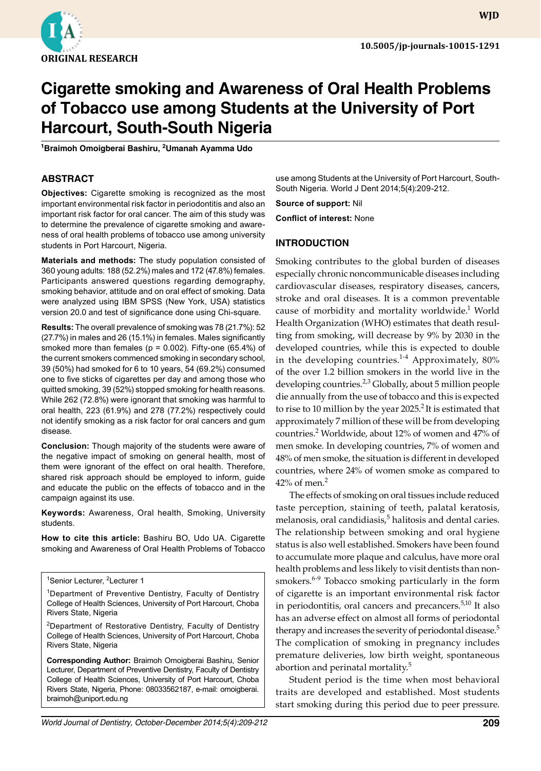

**WJD**

# **Cigarette smoking and Awareness of Oral Health Problems of Tobacco use among Students at the University of Port Harcourt, South-South Nigeria**

**1 Braimoh Omoigberai Bashiru, 2 Umanah Ayamma Udo**

### **ABSTRACT**

**Objectives:** Cigarette smoking is recognized as the most important environmental risk factor in periodontitis and also an important risk factor for oral cancer. The aim of this study was to determine the prevalence of cigarette smoking and awareness of oral health problems of tobacco use among university students in Port Harcourt, Nigeria.

**Materials and methods:** The study population consisted of 360 young adults: 188 (52.2%) males and 172 (47.8%) females. Participants answered questions regarding demography, smoking behavior, attitude and on oral effect of smoking. Data were analyzed using IBM SPSS (New York, USA) statistics version 20.0 and test of significance done using Chi-square.

**Results:** The overall prevalence of smoking was 78 (21.7%): 52 (27.7%) in males and 26 (15.1%) in females. Males significantly smoked more than females ( $p = 0.002$ ). Fifty-one (65.4%) of the current smokers commenced smoking in secondary school, 39 (50%) had smoked for 6 to 10 years, 54 (69.2%) consumed one to five sticks of cigarettes per day and among those who quitted smoking, 39 (52%) stopped smoking for health reasons. While 262 (72.8%) were ignorant that smoking was harmful to oral health, 223 (61.9%) and 278 (77.2%) respectively could not identify smoking as a risk factor for oral cancers and gum disease.

**Conclusion:** Though majority of the students were aware of the negative impact of smoking on general health, most of them were ignorant of the effect on oral health. Therefore, shared risk approach should be employed to inform, guide and educate the public on the effects of tobacco and in the campaign against its use.

**Keywords:** Awareness, Oral health, Smoking, University students.

**How to cite this article:** Bashiru BO, Udo UA. Cigarette smoking and Awareness of Oral Health Problems of Tobacco

<sup>1</sup>Senior Lecturer, <sup>2</sup>Lecturer 1

<sup>1</sup>Department of Preventive Dentistry, Faculty of Dentistry College of Health Sciences, University of Port Harcourt, Choba Rivers State, Nigeria

2Department of Restorative Dentistry, Faculty of Dentistry College of Health Sciences, University of Port Harcourt, Choba Rivers State, Nigeria

**Corresponding Author:** Braimoh Omoigberai Bashiru, Senior Lecturer, Department of Preventive Dentistry, Faculty of Dentistry College of Health Sciences, University of Port Harcourt, Choba Rivers State, Nigeria, Phone: 08033562187, e-mail: omoigberai. braimoh@uniport.edu.ng

use among Students at the University of Port Harcourt, South-South Nigeria. World J Dent 2014;5(4):209-212.

**Source of support:** Nil

**Conflict of interest:** None

# **Introduction**

Smoking contributes to the global burden of diseases especially chronic noncommunicable diseases including cardiovascular diseases, respiratory diseases, cancers, stroke and oral diseases. It is a common preventable cause of morbidity and mortality worldwide.<sup>1</sup> World Health Organization (WHO) estimates that death resulting from smoking, will decrease by 9% by 2030 in the developed countries, while this is expected to double in the developing countries. $1-4$  Approximately, 80% of the over 1.2 billion smokers in the world live in the developing countries.<sup>2,3</sup> Globally, about 5 million people die annually from the use of tobacco and this is expected to rise to 10 million by the year  $2025<sup>2</sup>$  It is estimated that approximately 7 million of these will be from developing countries.<sup>2</sup> Worldwide, about 12% of women and 47% of men smoke. In developing countries, 7% of women and 48% of men smoke, the situation is different in developed countries, where 24% of women smoke as compared to  $42\%$  of men.<sup>2</sup>

The effects of smoking on oral tissues include reduced taste perception, staining of teeth, palatal keratosis, melanosis, oral candidiasis,<sup>5</sup> halitosis and dental caries. The relationship between smoking and oral hygiene status is also well established. Smokers have been found to accumulate more plaque and calculus, have more oral health problems and less likely to visit dentists than nonsmokers.<sup>6-9</sup> Tobacco smoking particularly in the form of cigarette is an important environmental risk factor in periodontitis, oral cancers and precancers.<sup>5,10</sup> It also has an adverse effect on almost all forms of periodontal therapy and increases the severity of periodontal disease.<sup>5</sup> The complication of smoking in pregnancy includes premature deliveries, low birth weight, spontaneous abortion and perinatal mortality.<sup>5</sup>

Student period is the time when most behavioral traits are developed and established. Most students start smoking during this period due to peer pressure.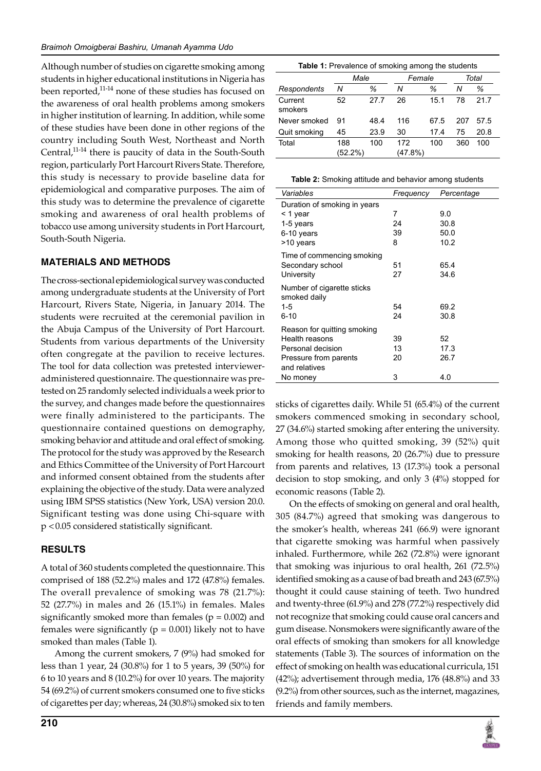Although number of studies on cigarette smoking among students in higher educational institutions in Nigeria has been reported,<sup>11-14</sup> none of these studies has focused on the awareness of oral health problems among smokers in higher institution of learning. In addition, while some of these studies have been done in other regions of the country including South West, Northeast and North Central,<sup>11-14</sup> there is paucity of data in the South-South region, particularly Port Harcourt Rivers State. Therefore, this study is necessary to provide baseline data for epidemiological and comparative purposes. The aim of this study was to determine the prevalence of cigarette smoking and awareness of oral health problems of tobacco use among university students in Port Harcourt, South-South Nigeria.

# **Materials and Methods**

The cross-sectional epidemiological survey was conducted among undergraduate students at the University of Port Harcourt, Rivers State, Nigeria, in January 2014. The students were recruited at the ceremonial pavilion in the Abuja Campus of the University of Port Harcourt. Students from various departments of the University often congregate at the pavilion to receive lectures. The tool for data collection was pretested intervieweradministered questionnaire. The questionnaire was pretested on 25 randomly selected individuals a week prior to the survey, and changes made before the questionnaires were finally administered to the participants. The questionnaire contained questions on demography, smoking behavior and attitude and oral effect of smoking. The protocol for the study was approved by the Research and Ethics Committee of the University of Port Harcourt and informed consent obtained from the students after explaining the objective of the study. Data were analyzed using IBM SPSS statistics (New York, USA) version 20.0. Significant testing was done using Chi-square with p <0.05 considered statistically significant.

# **Results**

A total of 360 students completed the questionnaire. This comprised of 188 (52.2%) males and 172 (47.8%) females. The overall prevalence of smoking was 78 (21.7%): 52 (27.7%) in males and 26 (15.1%) in females. Males significantly smoked more than females ( $p = 0.002$ ) and females were significantly ( $p = 0.001$ ) likely not to have smoked than males (Table 1).

Among the current smokers, 7 (9%) had smoked for less than 1 year, 24 (30.8%) for 1 to 5 years, 39 (50%) for 6 to 10 years and 8 (10.2%) for over 10 years. The majority 54 (69.2%) of current smokers consumed one to five sticks of cigarettes per day; whereas, 24 (30.8%) smoked six to ten

| <b>Table 1:</b> Prevalence of smoking among the students |                |      |                |      |       |      |  |  |  |
|----------------------------------------------------------|----------------|------|----------------|------|-------|------|--|--|--|
|                                                          | Male           |      | Female         |      | Total |      |  |  |  |
| Respondents                                              | Ν              | ℅    | Ν              | ℅    | Ν     | ℅    |  |  |  |
| Current<br>smokers                                       | 52             | 27.7 | 26             | 15.1 | 78    | 21.7 |  |  |  |
| Never smoked                                             | 91             | 48.4 | 116            | 67.5 | 207   | 57.5 |  |  |  |
| Quit smoking                                             | 45             | 23.9 | 30             | 17.4 | 75    | 20.8 |  |  |  |
| Total                                                    | 188<br>(52.2%) | 100  | 172<br>(47.8%) | 100  | 360   | 100  |  |  |  |

**Table 2:** Smoking attitude and behavior among students

| Frequency | Percentage |
|-----------|------------|
|           |            |
| 7         | 9.0        |
| 24        | 30.8       |
| 39        | 50.0       |
| 8         | 10.2       |
|           |            |
| 51        | 65.4       |
| 27        | 34.6       |
|           |            |
|           |            |
| 54        | 69.2       |
| 24        | 30.8       |
|           |            |
| 39        | 52         |
| 13        | 17.3       |
| 20        | 26.7       |
|           |            |
| 3         | 4.0        |
|           |            |

sticks of cigarettes daily. While 51 (65.4%) of the current smokers commenced smoking in secondary school, 27 (34.6%) started smoking after entering the university. Among those who quitted smoking, 39 (52%) quit smoking for health reasons, 20 (26.7%) due to pressure from parents and relatives, 13 (17.3%) took a personal decision to stop smoking, and only 3 (4%) stopped for economic reasons (Table 2).

On the effects of smoking on general and oral health, 305 (84.7%) agreed that smoking was dangerous to the smoker's health, whereas 241 (66.9) were ignorant that cigarette smoking was harmful when passively inhaled. Furthermore, while 262 (72.8%) were ignorant that smoking was injurious to oral health, 261 (72.5%) identified smoking as a cause of bad breath and 243 (67.5%) thought it could cause staining of teeth. Two hundred and twenty-three (61.9%) and 278 (77.2%) respectively did not recognize that smoking could cause oral cancers and gum disease. Nonsmokers were significantly aware of the oral effects of smoking than smokers for all knowledge statements (Table 3). The sources of information on the effect of smoking on health was educational curricula, 151 (42%); advertisement through media, 176 (48.8%) and 33 (9.2%) from other sources, such as the internet, magazines, friends and family members.

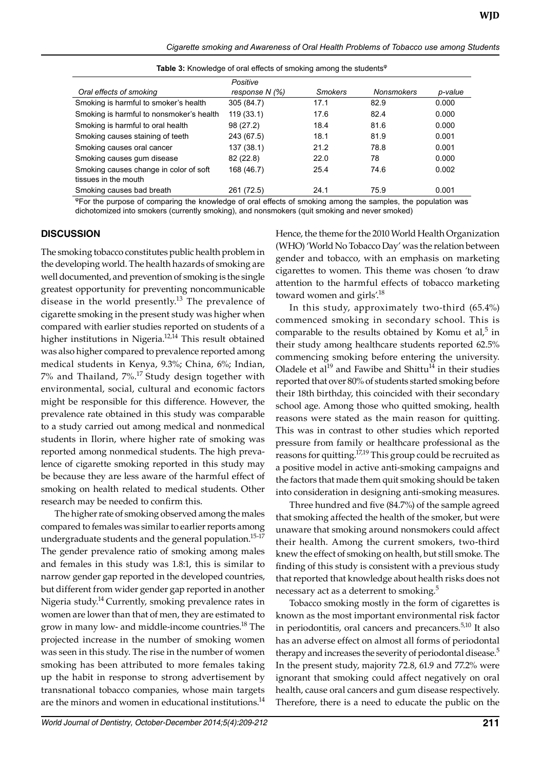*Cigarette smoking and Awareness of Oral Health Problems of Tobacco use among Students*

|                                                                | Positive         |         |                   |         |
|----------------------------------------------------------------|------------------|---------|-------------------|---------|
| Oral effects of smoking                                        | response $N$ (%) | Smokers | <b>Nonsmokers</b> | p-value |
| Smoking is harmful to smoker's health                          | 305 (84.7)       | 17.1    | 82.9              | 0.000   |
| Smoking is harmful to nonsmoker's health                       | 119(33.1)        | 17.6    | 824               | 0.000   |
| Smoking is harmful to oral health                              | 98 (27.2)        | 18.4    | 81.6              | 0.000   |
| Smoking causes staining of teeth                               | 243 (67.5)       | 18.1    | 81.9              | 0.001   |
| Smoking causes oral cancer                                     | 137(38.1)        | 21.2    | 78.8              | 0.001   |
| Smoking causes gum disease                                     | 82 (22.8)        | 22.0    | 78                | 0.000   |
| Smoking causes change in color of soft<br>tissues in the mouth | 168 (46.7)       | 25.4    | 74.6              | 0.002   |
| Smoking causes bad breath                                      | 261 (72.5)       | 24.1    | 75.9              | 0.001   |

Table 3: Knowledge of oral effects of smoking among the students<sup>®</sup>

<sup>φ</sup>For the purpose of comparing the knowledge of oral effects of smoking among the samples, the population was dichotomized into smokers (currently smoking), and nonsmokers (quit smoking and never smoked)

#### **Discussion**

The smoking tobacco constitutes public health problem in the developing world. The health hazards of smoking are well documented, and prevention of smoking is the single greatest opportunity for preventing noncommunicable disease in the world presently.<sup>13</sup> The prevalence of cigarette smoking in the present study was higher when compared with earlier studies reported on students of a higher institutions in Nigeria.<sup>12,14</sup> This result obtained was also higher compared to prevalence reported among medical students in Kenya, 9.3%; China, 6%; Indian, 7% and Thailand, 7%.<sup>17</sup> Study design together with environmental, social, cultural and economic factors might be responsible for this difference. However, the prevalence rate obtained in this study was comparable to a study carried out among medical and nonmedical students in Ilorin, where higher rate of smoking was reported among nonmedical students. The high prevalence of cigarette smoking reported in this study may be because they are less aware of the harmful effect of smoking on health related to medical students. Other research may be needed to confirm this.

The higher rate of smoking observed among the males compared to females was similar to earlier reports among undergraduate students and the general population.<sup>15-17</sup> The gender prevalence ratio of smoking among males and females in this study was 1.8:1, this is similar to narrow gender gap reported in the developed countries, but different from wider gender gap reported in another Nigeria study.<sup>14</sup> Currently, smoking prevalence rates in women are lower than that of men, they are estimated to grow in many low- and middle-income countries.<sup>18</sup> The projected increase in the number of smoking women was seen in this study. The rise in the number of women smoking has been attributed to more females taking up the habit in response to strong advertisement by transnational tobacco companies, whose main targets are the minors and women in educational institutions.<sup>14</sup>

Hence, the theme for the 2010 World Health Organization (WHO) 'World No Tobacco Day' was the relation between gender and tobacco, with an emphasis on marketing cigarettes to women. This theme was chosen 'to draw attention to the harmful effects of tobacco marketing toward women and girls'.<sup>18</sup>

In this study, approximately two-third (65.4%) commenced smoking in secondary school. This is comparable to the results obtained by Komu et al, $5$  in their study among healthcare students reported 62.5% commencing smoking before entering the university. Oladele et  $al^{19}$  and Fawibe and Shittu<sup>14</sup> in their studies reported that over 80% of students started smoking before their 18th birthday, this coincided with their secondary school age. Among those who quitted smoking, health reasons were stated as the main reason for quitting. This was in contrast to other studies which reported pressure from family or healthcare professional as the reasons for quitting.<sup>17,19</sup> This group could be recruited as a positive model in active anti-smoking campaigns and the factors that made them quit smoking should be taken into consideration in designing anti-smoking measures.

Three hundred and five (84.7%) of the sample agreed that smoking affected the health of the smoker, but were unaware that smoking around nonsmokers could affect their health. Among the current smokers, two-third knew the effect of smoking on health, but still smoke. The finding of this study is consistent with a previous study that reported that knowledge about health risks does not necessary act as a deterrent to smoking.<sup>5</sup>

Tobacco smoking mostly in the form of cigarettes is known as the most important environmental risk factor in periodontitis, oral cancers and precancers.<sup>5,10</sup> It also has an adverse effect on almost all forms of periodontal therapy and increases the severity of periodontal disease.<sup>5</sup> In the present study, majority 72.8, 61.9 and 77.2% were ignorant that smoking could affect negatively on oral health, cause oral cancers and gum disease respectively. Therefore, there is a need to educate the public on the